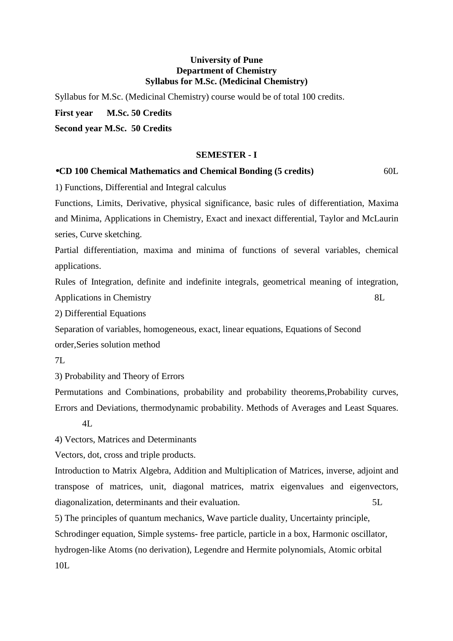#### **University of Pune Department of Chemistry Syllabus for M.Sc. (Medicinal Chemistry)**

Syllabus for M.Sc. (Medicinal Chemistry) course would be of total 100 credits.

**First year M.Sc. 50 Credits** 

**Second year M.Sc. 50 Credits** 

#### **SEMESTER - I**

### •**CD 100 Chemical Mathematics and Chemical Bonding (5 credits)** 60L

1) Functions, Differential and Integral calculus

Functions, Limits, Derivative, physical significance, basic rules of differentiation, Maxima and Minima, Applications in Chemistry, Exact and inexact differential, Taylor and McLaurin series, Curve sketching.

Partial differentiation, maxima and minima of functions of several variables, chemical applications.

Rules of Integration, definite and indefinite integrals, geometrical meaning of integration, Applications in Chemistry 8L

2) Differential Equations

Separation of variables, homogeneous, exact, linear equations, Equations of Second order,Series solution method

7L

3) Probability and Theory of Errors

Permutations and Combinations, probability and probability theorems,Probability curves, Errors and Deviations, thermodynamic probability. Methods of Averages and Least Squares.

 $4I$ .

4) Vectors, Matrices and Determinants

Vectors, dot, cross and triple products.

Introduction to Matrix Algebra, Addition and Multiplication of Matrices, inverse, adjoint and transpose of matrices, unit, diagonal matrices, matrix eigenvalues and eigenvectors, diagonalization, determinants and their evaluation. 5L

5) The principles of quantum mechanics, Wave particle duality, Uncertainty principle, Schrodinger equation, Simple systems- free particle, particle in a box, Harmonic oscillator, hydrogen-like Atoms (no derivation), Legendre and Hermite polynomials, Atomic orbital 10L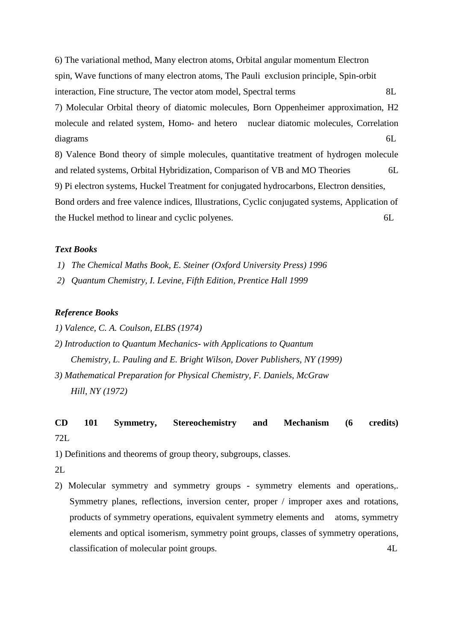6) The variational method, Many electron atoms, Orbital angular momentum Electron spin, Wave functions of many electron atoms, The Pauli exclusion principle, Spin-orbit interaction, Fine structure, The vector atom model, Spectral terms 8L 7) Molecular Orbital theory of diatomic molecules, Born Oppenheimer approximation, H2 molecule and related system, Homo- and hetero nuclear diatomic molecules, Correlation diagrams 6L 8) Valence Bond theory of simple molecules, quantitative treatment of hydrogen molecule and related systems, Orbital Hybridization, Comparison of VB and MO Theories 6L 9) Pi electron systems, Huckel Treatment for conjugated hydrocarbons, Electron densities, Bond orders and free valence indices, Illustrations, Cyclic conjugated systems, Application of the Huckel method to linear and cyclic polyenes. 6L

#### *Text Books*

- *1) The Chemical Maths Book, E. Steiner (Oxford University Press) 1996*
- *2) Quantum Chemistry, I. Levine, Fifth Edition, Prentice Hall 1999*

#### *Reference Books*

- *1) Valence, C. A. Coulson, ELBS (1974)*
- *2) Introduction to Quantum Mechanics- with Applications to Quantum Chemistry, L. Pauling and E. Bright Wilson, Dover Publishers, NY (1999)*
- *3) Mathematical Preparation for Physical Chemistry, F. Daniels, McGraw Hill, NY (1972)*

# **CD 101 Symmetry, Stereochemistry and Mechanism (6 credits)** 72L

1) Definitions and theorems of group theory, subgroups, classes.

2L

2) Molecular symmetry and symmetry groups - symmetry elements and operations,. Symmetry planes, reflections, inversion center, proper / improper axes and rotations, products of symmetry operations, equivalent symmetry elements and atoms, symmetry elements and optical isomerism, symmetry point groups, classes of symmetry operations, classification of molecular point groups. 4L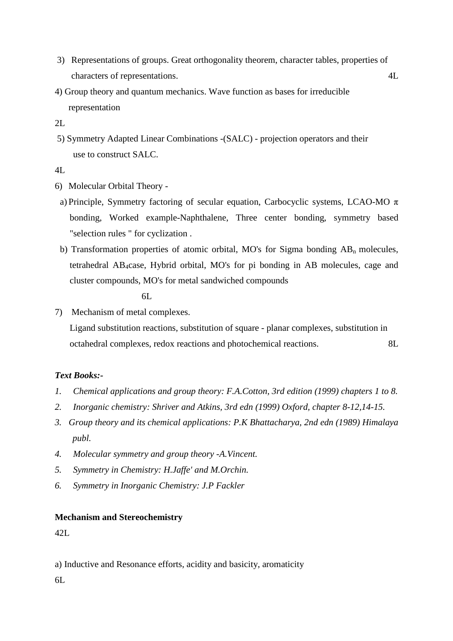- 3) Representations of groups. Great orthogonality theorem, character tables, properties of characters of representations. 4L
- 4) Group theory and quantum mechanics. Wave function as bases for irreducible representation
- 2L
- 5) Symmetry Adapted Linear Combinations -(SALC) projection operators and their use to construct SALC.
- 4L
- 6) Molecular Orbital Theory -
- a) Principle, Symmetry factoring of secular equation, Carbocyclic systems, LCAO-MO  $\pi$ bonding, Worked example-Naphthalene, Three center bonding, symmetry based "selection rules " for cyclization .
- b) Transformation properties of atomic orbital, MO's for Sigma bonding  $AB_n$  molecules, tetrahedral AB4case, Hybrid orbital, MO's for pi bonding in AB molecules, cage and cluster compounds, MO's for metal sandwiched compounds

6L

7) Mechanism of metal complexes.

 Ligand substitution reactions, substitution of square - planar complexes, substitution in octahedral complexes, redox reactions and photochemical reactions. 8L

# *Text Books:-*

- *1. Chemical applications and group theory: F.A.Cotton, 3rd edition (1999) chapters 1 to 8.*
- *2. Inorganic chemistry: Shriver and Atkins, 3rd edn (1999) Oxford, chapter 8-12,14-15.*
- *3. Group theory and its chemical applications: P.K Bhattacharya, 2nd edn (1989) Himalaya publ.*
- *4. Molecular symmetry and group theory -A.Vincent.*
- *5. Symmetry in Chemistry: H.Jaffe' and M.Orchin.*
- *6. Symmetry in Inorganic Chemistry: J.P Fackler*

### **Mechanism and Stereochemistry**

42L

a) Inductive and Resonance efforts, acidity and basicity, aromaticity

6L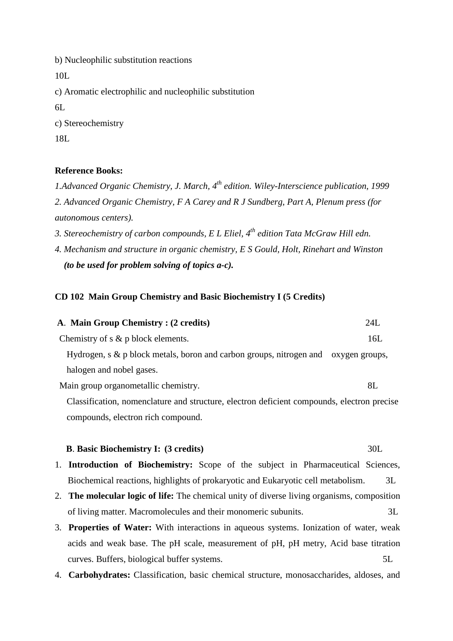b) Nucleophilic substitution reactions 10L c) Aromatic electrophilic and nucleophilic substitution  $6L$ c) Stereochemistry 18L

### **Reference Books:**

*1.Advanced Organic Chemistry, J. March, 4th edition. Wiley-Interscience publication, 1999 2. Advanced Organic Chemistry, F A Carey and R J Sundberg, Part A, Plenum press (for autonomous centers).* 

*3. Stereochemistry of carbon compounds, E L Eliel, 4 th edition Tata McGraw Hill edn.* 

*4. Mechanism and structure in organic chemistry, E S Gould, Holt, Rinehart and Winston (to be used for problem solving of topics a-c).*

### **CD 102 Main Group Chemistry and Basic Biochemistry I (5 Credits)**

compounds, electron rich compound.

### **B**. **Basic Biochemistry I: (3 credits)**  $30L$

- 1. **Introduction of Biochemistry:** Scope of the subject in Pharmaceutical Sciences, Biochemical reactions, highlights of prokaryotic and Eukaryotic cell metabolism. 3L
- 2. **The molecular logic of life:** The chemical unity of diverse living organisms, composition of living matter. Macromolecules and their monomeric subunits. 3L
- 3. **Properties of Water:** With interactions in aqueous systems. Ionization of water, weak acids and weak base. The pH scale, measurement of pH, pH metry, Acid base titration curves. Buffers, biological buffer systems. 5L
- 4. **Carbohydrates:** Classification, basic chemical structure, monosaccharides, aldoses, and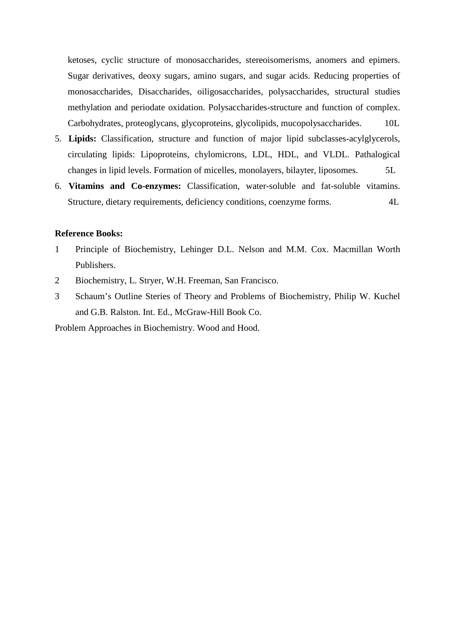ketoses, cyclic structure of monosaccharides, stereoisomerisms, anomers and epimers. Sugar derivatives, deoxy sugars, amino sugars, and sugar acids. Reducing properties of monosaccharides, Disaccharides, oiligosaccharides, polysaccharides, structural studies methylation and periodate oxidation. Polysaccharides-structure and function of complex. Carbohydrates, proteoglycans, glycoproteins, glycolipids, mucopolysaccharides. 10L

- 5. **Lipids:** Classification, structure and function of major lipid subclasses-acylglycerols, circulating lipids: Lipoproteins, chylomicrons, LDL, HDL, and VLDL. Pathalogical changes in lipid levels. Formation of micelles, monolayers, bilayter, liposomes. 5L
- 6. **Vitamins and Co-enzymes:** Classification, water-soluble and fat-soluble vitamins. Structure, dietary requirements, deficiency conditions, coenzyme forms. 4L

### **Reference Books:**

- 1 Principle of Biochemistry, Lehinger D.L. Nelson and M.M. Cox. Macmillan Worth Publishers.
- 2 Biochemistry, L. Stryer, W.H. Freeman, San Francisco.
- 3 Schaum's Outline Steries of Theory and Problems of Biochemistry, Philip W. Kuchel and G.B. Ralston. Int. Ed., McGraw-Hill Book Co.

Problem Approaches in Biochemistry. Wood and Hood.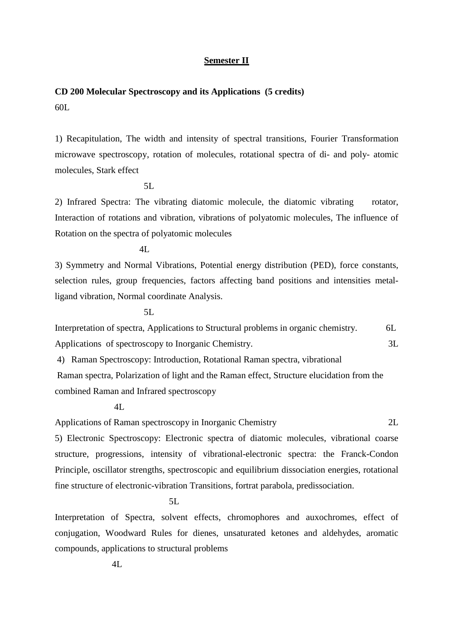#### **Semester II**

# **CD 200 Molecular Spectroscopy and its Applications (5 credits)** 60L

1) Recapitulation, The width and intensity of spectral transitions, Fourier Transformation microwave spectroscopy, rotation of molecules, rotational spectra of di- and poly- atomic molecules, Stark effect

5L

2) Infrared Spectra: The vibrating diatomic molecule, the diatomic vibrating rotator, Interaction of rotations and vibration, vibrations of polyatomic molecules, The influence of Rotation on the spectra of polyatomic molecules

4L

3) Symmetry and Normal Vibrations, Potential energy distribution (PED), force constants, selection rules, group frequencies, factors affecting band positions and intensities metalligand vibration, Normal coordinate Analysis.

5L

Interpretation of spectra, Applications to Structural problems in organic chemistry. 6L Applications of spectroscopy to Inorganic Chemistry. 3L

4) Raman Spectroscopy: Introduction, Rotational Raman spectra, vibrational

 Raman spectra, Polarization of light and the Raman effect, Structure elucidation from the combined Raman and Infrared spectroscopy

 $4I$ 

Applications of Raman spectroscopy in Inorganic Chemistry 2L

5) Electronic Spectroscopy: Electronic spectra of diatomic molecules, vibrational coarse structure, progressions, intensity of vibrational-electronic spectra: the Franck-Condon Principle, oscillator strengths, spectroscopic and equilibrium dissociation energies, rotational fine structure of electronic-vibration Transitions, fortrat parabola, predissociation.

5L

Interpretation of Spectra, solvent effects, chromophores and auxochromes, effect of conjugation, Woodward Rules for dienes, unsaturated ketones and aldehydes, aromatic compounds, applications to structural problems

 $4I$ .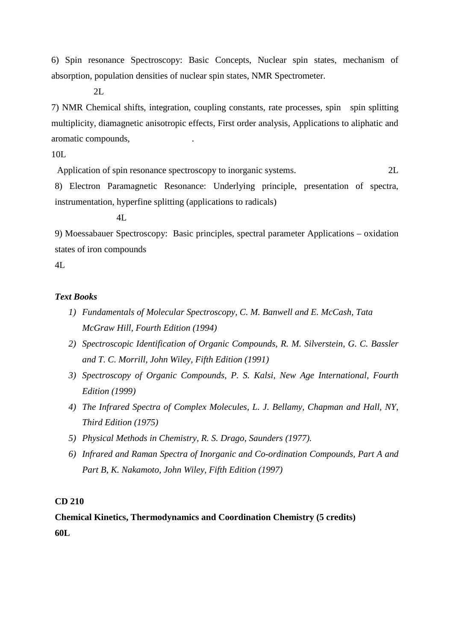6) Spin resonance Spectroscopy: Basic Concepts, Nuclear spin states, mechanism of absorption, population densities of nuclear spin states, NMR Spectrometer.

2L

7) NMR Chemical shifts, integration, coupling constants, rate processes, spin spin splitting multiplicity, diamagnetic anisotropic effects, First order analysis, Applications to aliphatic and aromatic compounds, .

10L

Application of spin resonance spectroscopy to inorganic systems. 2L

8) Electron Paramagnetic Resonance: Underlying principle, presentation of spectra, instrumentation, hyperfine splitting (applications to radicals)

4L

9) Moessabauer Spectroscopy: Basic principles, spectral parameter Applications – oxidation states of iron compounds

 $4L$ 

### *Text Books*

- *1) Fundamentals of Molecular Spectroscopy, C. M. Banwell and E. McCash, Tata McGraw Hill, Fourth Edition (1994)*
- *2) Spectroscopic Identification of Organic Compounds, R. M. Silverstein, G. C. Bassler and T. C. Morrill, John Wiley, Fifth Edition (1991)*
- *3) Spectroscopy of Organic Compounds, P. S. Kalsi, New Age International, Fourth Edition (1999)*
- *4) The Infrared Spectra of Complex Molecules, L. J. Bellamy, Chapman and Hall, NY, Third Edition (1975)*
- *5) Physical Methods in Chemistry, R. S. Drago, Saunders (1977).*
- *6) Infrared and Raman Spectra of Inorganic and Co-ordination Compounds, Part A and Part B, K. Nakamoto, John Wiley, Fifth Edition (1997)*

### **CD 210**

**Chemical Kinetics, Thermodynamics and Coordination Chemistry (5 credits) 60L**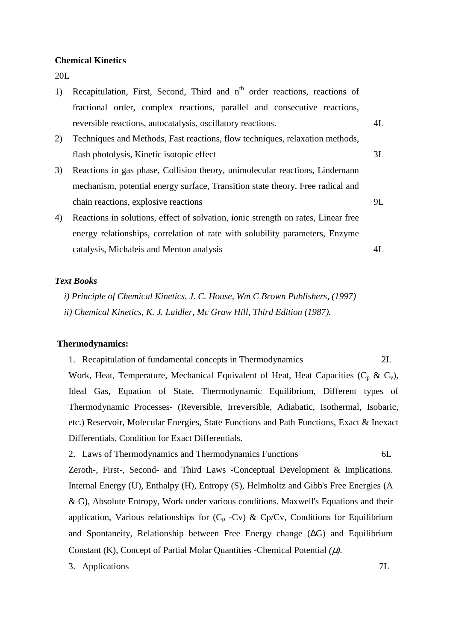#### **Chemical Kinetics**

20L

| 1) | Recapitulation, First, Second, Third and n <sup>th</sup> order reactions, reactions of |    |
|----|----------------------------------------------------------------------------------------|----|
|    | fractional order, complex reactions, parallel and consecutive reactions,               |    |
|    | reversible reactions, autocatalysis, oscillatory reactions.                            | 4L |
| 2) | Techniques and Methods, Fast reactions, flow techniques, relaxation methods,           |    |
|    | flash photolysis, Kinetic isotopic effect                                              | 3L |
| 3) | Reactions in gas phase, Collision theory, unimolecular reactions, Lindemann            |    |
|    | mechanism, potential energy surface, Transition state theory, Free radical and         |    |
|    | chain reactions, explosive reactions                                                   | 9L |
| 4) | Reactions in solutions, effect of solvation, ionic strength on rates, Linear free      |    |
|    | energy relationships, correlation of rate with solubility parameters, Enzyme           |    |
|    | catalysis, Michaleis and Menton analysis                                               | 4L |

#### *Text Books*

 *i) Principle of Chemical Kinetics, J. C. House, Wm C Brown Publishers, (1997) ii) Chemical Kinetics, K. J. Laidler, Mc Graw Hill, Third Edition (1987).* 

#### **Thermodynamics:**

1. Recapitulation of fundamental concepts in Thermodynamics2L

Work, Heat, Temperature, Mechanical Equivalent of Heat, Heat Capacities ( $C_p$  &  $C_v$ ), Ideal Gas, Equation of State, Thermodynamic Equilibrium, Different types of Thermodynamic Processes- (Reversible, Irreversible, Adiabatic, Isothermal, Isobaric, etc.) Reservoir, Molecular Energies, State Functions and Path Functions, Exact & Inexact Differentials, Condition for Exact Differentials.

2. Laws of Thermodynamics and Thermodynamics Functions 6L

Zeroth-, First-, Second- and Third Laws -Conceptual Development & Implications. Internal Energy (U), Enthalpy (H), Entropy (S), Helmholtz and Gibb's Free Energies (A & G), Absolute Entropy, Work under various conditions. Maxwell's Equations and their application, Various relationships for  $(C_p - Cv)$  & Cp/Cv, Conditions for Equilibrium and Spontaneity, Relationship between Free Energy change (∆G) and Equilibrium Constant (K), Concept of Partial Molar Quantities -Chemical Potential *(*µ*).* 

3. Applications 7L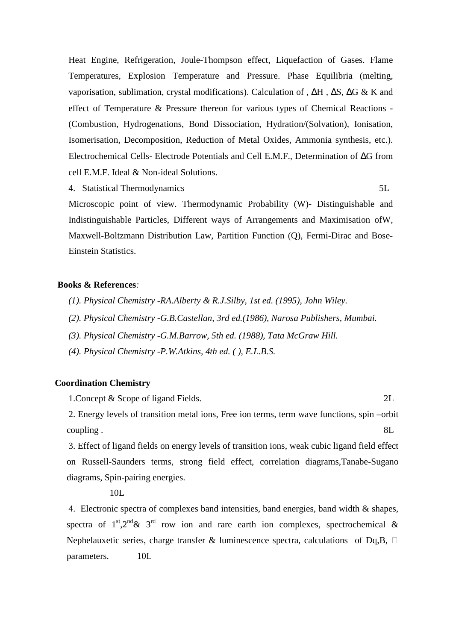Heat Engine, Refrigeration, Joule-Thompson effect, Liquefaction of Gases. Flame Temperatures, Explosion Temperature and Pressure. Phase Equilibria (melting, vaporisation, sublimation, crystal modifications). Calculation of , ∆H , ∆S, ∆G & K and effect of Temperature & Pressure thereon for various types of Chemical Reactions - (Combustion, Hydrogenations, Bond Dissociation, Hydration/(Solvation), Ionisation, Isomerisation, Decomposition, Reduction of Metal Oxides, Ammonia synthesis, etc.). Electrochemical Cells- Electrode Potentials and Cell E.M.F., Determination of ∆G from cell E.M.F. Ideal & Non-ideal Solutions.

4. Statistical Thermodynamics 5L

Microscopic point of view. Thermodynamic Probability (W)- Distinguishable and Indistinguishable Particles, Different ways of Arrangements and Maximisation ofW, Maxwell-Boltzmann Distribution Law, Partition Function (Q), Fermi-Dirac and Bose-Einstein Statistics.

### **Books & References***:*

- *(1). Physical Chemistry -RA.Alberty & R.J.Silby, 1st ed. (1995), John Wiley.*
- *(2). Physical Chemistry -G.B.Castellan, 3rd ed.(1986), Narosa Publishers, Mumbai.*
- *(3). Physical Chemistry -G.M.Barrow, 5th ed. (1988), Tata McGraw Hill.*
- *(4). Physical Chemistry -P.W.Atkins, 4th ed. ( ), E.L.B.S.*

### **Coordination Chemistry**

1. Concept & Scope of ligand Fields. 2L

2. Energy levels of transition metal ions, Free ion terms, term wave functions, spin –orbit coupling . 8L

3. Effect of ligand fields on energy levels of transition ions, weak cubic ligand field effect on Russell-Saunders terms, strong field effect, correlation diagrams,Tanabe-Sugano diagrams, Spin-pairing energies.

10L

4. Electronic spectra of complexes band intensities, band energies, band width & shapes, spectra of  $1^{st}$ ,  $2^{nd}$  &  $3^{rd}$  row ion and rare earth ion complexes, spectrochemical & Nephelauxetic series, charge transfer & luminescence spectra, calculations of Dq,B,  $\Box$ parameters. 10L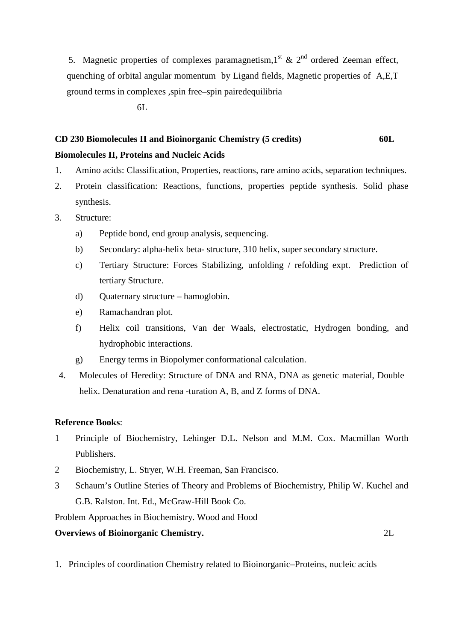5. Magnetic properties of complexes paramagnetism,  $1<sup>st</sup>$  &  $2<sup>nd</sup>$  ordered Zeeman effect, quenching of orbital angular momentum by Ligand fields, Magnetic properties of A,E,T ground terms in complexes ,spin free–spin pairedequilibria

 $6L$ 

# **CD 230 Biomolecules II and Bioinorganic Chemistry (5 credits) 60L**

### **Biomolecules II, Proteins and Nucleic Acids**

- 1. Amino acids: Classification, Properties, reactions, rare amino acids, separation techniques.
- 2. Protein classification: Reactions, functions, properties peptide synthesis. Solid phase synthesis.
- 3. Structure:
	- a) Peptide bond, end group analysis, sequencing.
	- b) Secondary: alpha-helix beta- structure, 310 helix, super secondary structure.
	- c) Tertiary Structure: Forces Stabilizing, unfolding / refolding expt. Prediction of tertiary Structure.
	- d) Quaternary structure hamoglobin.
	- e) Ramachandran plot.
	- f) Helix coil transitions, Van der Waals, electrostatic, Hydrogen bonding, and hydrophobic interactions.
	- g) Energy terms in Biopolymer conformational calculation.
- 4. Molecules of Heredity: Structure of DNA and RNA, DNA as genetic material, Double helix. Denaturation and rena -turation A, B, and Z forms of DNA.

### **Reference Books**:

- 1 Principle of Biochemistry, Lehinger D.L. Nelson and M.M. Cox. Macmillan Worth Publishers.
- 2 Biochemistry, L. Stryer, W.H. Freeman, San Francisco.
- 3 Schaum's Outline Steries of Theory and Problems of Biochemistry, Philip W. Kuchel and G.B. Ralston. Int. Ed., McGraw-Hill Book Co.

Problem Approaches in Biochemistry. Wood and Hood

### **Overviews of Bioinorganic Chemistry.** 2L

1. Principles of coordination Chemistry related to Bioinorganic–Proteins, nucleic acids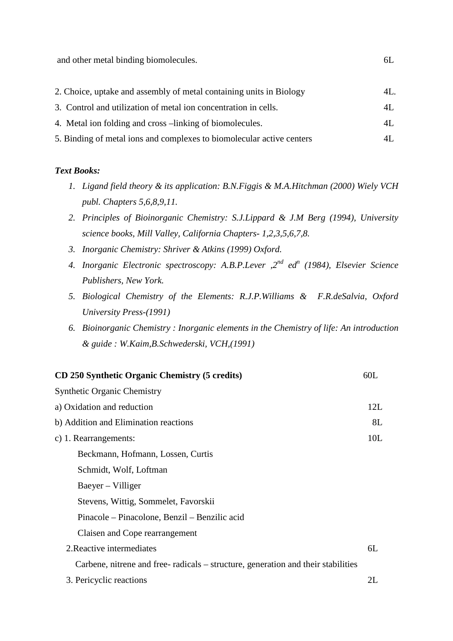and other metal binding biomolecules. 6L

| 2. Choice, uptake and assembly of metal containing units in Biology   | 4L. |
|-----------------------------------------------------------------------|-----|
| 3. Control and utilization of metal ion concentration in cells.       | 4L. |
| 4. Metal ion folding and cross -linking of biomolecules.              | 4L  |
| 5. Binding of metal ions and complexes to biomolecular active centers | 4L  |

#### *Text Books:*

- *1. Ligand field theory & its application: B.N.Figgis & M.A.Hitchman (2000) Wiely VCH publ. Chapters 5,6,8,9,11.*
- *2. Principles of Bioinorganic Chemistry: S.J.Lippard & J.M Berg (1994), University science books, Mill Valley, California Chapters- 1,2,3,5,6,7,8.*
- *3. Inorganic Chemistry: Shriver & Atkins (1999) Oxford.*
- *4. Inorganic Electronic spectroscopy: A.B.P.Lever ,2nd ed<sup>n</sup> (1984), Elsevier Science Publishers, New York.*
- *5. Biological Chemistry of the Elements: R.J.P.Williams & F.R.deSalvia, Oxford University Press-(1991)*
- *6. Bioinorganic Chemistry : Inorganic elements in the Chemistry of life: An introduction & guide : W.Kaim,B.Schwederski, VCH,(1991)*

| CD 250 Synthetic Organic Chemistry (5 credits)                                   | 60L |
|----------------------------------------------------------------------------------|-----|
| <b>Synthetic Organic Chemistry</b>                                               |     |
| a) Oxidation and reduction                                                       | 12L |
| b) Addition and Elimination reactions                                            | 8L  |
| c) 1. Rearrangements:                                                            | 10L |
| Beckmann, Hofmann, Lossen, Curtis                                                |     |
| Schmidt, Wolf, Loftman                                                           |     |
| Baeyer – Villiger                                                                |     |
| Stevens, Wittig, Sommelet, Favorskii                                             |     |
| Pinacole – Pinacolone, Benzil – Benzilic acid                                    |     |
| Claisen and Cope rearrangement                                                   |     |
| 2. Reactive intermediates                                                        | 6L  |
| Carbene, nitrene and free-radicals – structure, generation and their stabilities |     |
| 3. Pericyclic reactions                                                          | 2L  |
|                                                                                  |     |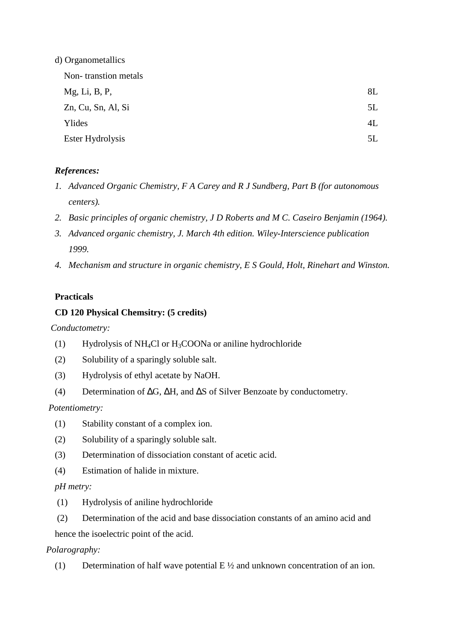| d) Organometallics   |    |
|----------------------|----|
| Non-transtion metals |    |
| Mg, Li, B, P,        | 8L |
| Zn, Cu, Sn, Al, Si   | 5L |
| Ylides               | 4L |
| Ester Hydrolysis     | 5L |

# *References:*

- *1. Advanced Organic Chemistry, F A Carey and R J Sundberg, Part B (for autonomous centers).*
- *2. Basic principles of organic chemistry, J D Roberts and M C. Caseiro Benjamin (1964).*
- *3. Advanced organic chemistry, J. March 4th edition. Wiley-Interscience publication 1999.*
- *4. Mechanism and structure in organic chemistry, E S Gould, Holt, Rinehart and Winston.*

# **Practicals**

# **CD 120 Physical Chemsitry: (5 credits)**

 *Conductometry:* 

- (1) Hydrolysis of NH<sub>4</sub>Cl or H<sub>3</sub>COONa or aniline hydrochloride
- (2) Solubility of a sparingly soluble salt.
- (3) Hydrolysis of ethyl acetate by NaOH.
- (4) Determination of ∆G, ∆H, and ∆S of Silver Benzoate by conductometry.

# *Potentiometry:*

- (1) Stability constant of a complex ion.
- (2) Solubility of a sparingly soluble salt.
- (3) Determination of dissociation constant of acetic acid.
- (4) Estimation of halide in mixture.

# *pH metry:*

- (1) Hydrolysis of aniline hydrochloride
- (2) Determination of the acid and base dissociation constants of an amino acid and
- hence the isoelectric point of the acid.

# *Polarography:*

(1) Determination of half wave potential  $E \frac{1}{2}$  and unknown concentration of an ion.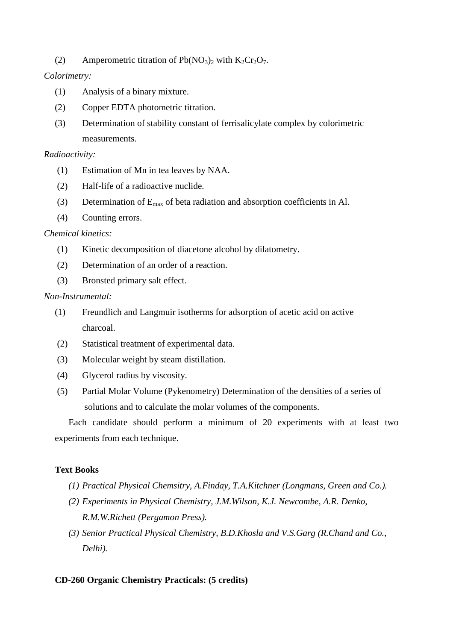(2) Amperometric titration of  $Pb(NO<sub>3</sub>)<sub>2</sub>$  with  $K<sub>2</sub>Cr<sub>2</sub>O<sub>7</sub>$ .

# *Colorimetry:*

- (1) Analysis of a binary mixture.
- (2) Copper EDTA photometric titration.
- (3) Determination of stability constant of ferrisalicylate complex by colorimetric measurements.

### *Radioactivity:*

- (1) Estimation of Mn in tea leaves by NAA.
- (2) Half-life of a radioactive nuclide.
- (3) Determination of  $E_{\text{max}}$  of beta radiation and absorption coefficients in Al.
- (4) Counting errors.

### *Chemical kinetics:*

- (1) Kinetic decomposition of diacetone alcohol by dilatometry.
- (2) Determination of an order of a reaction.
- (3) Bronsted primary salt effect.

### *Non-Instrumental:*

- (1) Freundlich and Langmuir isotherms for adsorption of acetic acid on active charcoal.
- (2) Statistical treatment of experimental data.
- (3) Molecular weight by steam distillation.
- (4) Glycerol radius by viscosity.
- (5) Partial Molar Volume (Pykenometry) Determination of the densities of a series of solutions and to calculate the molar volumes of the components.

Each candidate should perform a minimum of 20 experiments with at least two experiments from each technique.

# **Text Books**

- *(1) Practical Physical Chemsitry, A.Finday, T.A.Kitchner (Longmans, Green and Co.).*
- *(2) Experiments in Physical Chemistry, J.M.Wilson, K.J. Newcombe, A.R. Denko, R.M.W.Richett (Pergamon Press).*
- *(3) Senior Practical Physical Chemistry, B.D.Khosla and V.S.Garg (R.Chand and Co., Delhi).*

# **CD-260 Organic Chemistry Practicals: (5 credits)**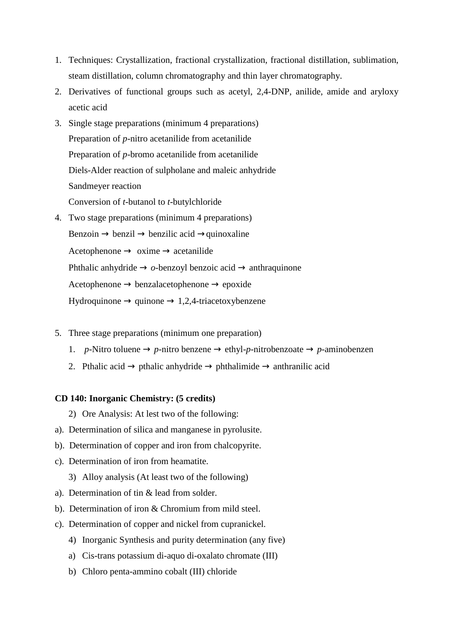- 1. Techniques: Crystallization, fractional crystallization, fractional distillation, sublimation, steam distillation, column chromatography and thin layer chromatography.
- 2. Derivatives of functional groups such as acetyl, 2,4-DNP, anilide, amide and aryloxy acetic acid
- 3. Single stage preparations (minimum 4 preparations) Preparation of *p*-nitro acetanilide from acetanilide Preparation of *p*-bromo acetanilide from acetanilide Diels-Alder reaction of sulpholane and maleic anhydride Sandmeyer reaction Conversion of *t*-butanol to *t*-butylchloride
- 4. Two stage preparations (minimum 4 preparations) Benzoin  $\rightarrow$  benzil  $\rightarrow$  benzilic acid  $\rightarrow$ quinoxaline Acetophenone  $\rightarrow$  oxime  $\rightarrow$  acetanilide Phthalic anhydride → *o*-benzoyl benzoic acid → anthraquinone Acetophenone  $\rightarrow$  benzalacetophenone  $\rightarrow$  epoxide  $Hydroquinone \rightarrow quinone \rightarrow 1,2,4-triacetoxybenzene$
- 5. Three stage preparations (minimum one preparation)
	- 1. *p*-Nitro toluene  $\rightarrow$  *p*-nitro benzene  $\rightarrow$  ethyl-*p*-nitrobenzoate  $\rightarrow$  *p*-aminobenzen
	- 2. Pthalic acid  $\rightarrow$  pthalic anhydride  $\rightarrow$  phthalimide  $\rightarrow$  anthranilic acid

### **CD 140: Inorganic Chemistry: (5 credits)**

- 2) Ore Analysis: At lest two of the following:
- a). Determination of silica and manganese in pyrolusite.
- b). Determination of copper and iron from chalcopyrite.
- c). Determination of iron from heamatite.
	- 3) Alloy analysis (At least two of the following)
- a). Determination of tin & lead from solder.
- b). Determination of iron & Chromium from mild steel.
- c). Determination of copper and nickel from cupranickel.
	- 4) Inorganic Synthesis and purity determination (any five)
	- a) Cis-trans potassium di-aquo di-oxalato chromate (III)
	- b) Chloro penta-ammino cobalt (III) chloride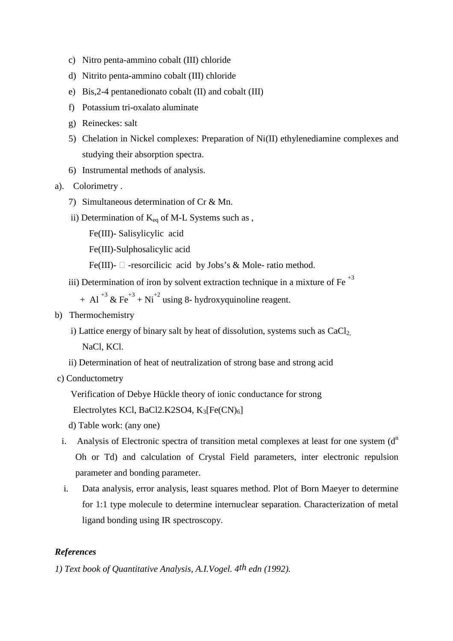- c) Nitro penta-ammino cobalt (III) chloride
- d) Nitrito penta-ammino cobalt (III) chloride
- e) Bis,2-4 pentanedionato cobalt (II) and cobalt (III)
- f) Potassium tri-oxalato aluminate
- g) Reineckes: salt
- 5) Chelation in Nickel complexes: Preparation of Ni(II) ethylenediamine complexes and studying their absorption spectra.
- 6) Instrumental methods of analysis.
- a). Colorimetry .
	- 7) Simultaneous determination of Cr & Mn.
	- ii) Determination of  $K_{eq}$  of M-L Systems such as,
		- Fe(III)- Salisylicylic acid
		- Fe(III)-Sulphosalicylic acid
- Fe(III)-  $\Box$  -resorcilicic acid by Jobs's & Mole-ratio method.
	- iii) Determination of iron by solvent extraction technique in a mixture of Fe<sup> $+3$ </sup>
		- $+$  Al<sup>+3</sup> & Fe<sup>+3</sup> + Ni<sup>+2</sup> using 8- hydroxyquinoline reagent.
- b) Thermochemistry
	- i) Lattice energy of binary salt by heat of dissolution, systems such as  $CaCl<sub>2</sub>$

NaCl, KCl.

- ii) Determination of heat of neutralization of strong base and strong acid
- c) Conductometry
	- Verification of Debye Hückle theory of ionic conductance for strong

```
Electrolytes KCl, BaCl2.K2SO4, K_3[Fe(CN)<sub>6</sub>]
```
- d) Table work: (any one)
- i. Analysis of Electronic spectra of transition metal complexes at least for one system  $(d<sup>n</sup>)$ Oh or Td) and calculation of Crystal Field parameters, inter electronic repulsion parameter and bonding parameter.
- i. Data analysis, error analysis, least squares method. Plot of Born Maeyer to determine for 1:1 type molecule to determine internuclear separation. Characterization of metal ligand bonding using IR spectroscopy.

### *References*

*1) Text book of Quantitative Analysis, A.I.Vogel. 4th edn (1992).*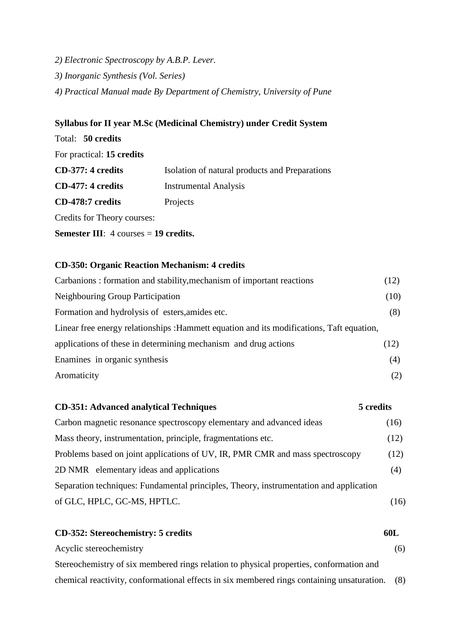*2) Electronic Spectroscopy by A.B.P. Lever. 3) Inorganic Synthesis (Vol. Series) 4) Practical Manual made By Department of Chemistry, University of Pune* 

# **Syllabus for II year M.Sc (Medicinal Chemistry) under Credit System**

| Total: 50 credits                                              |                                                |
|----------------------------------------------------------------|------------------------------------------------|
| For practical: 15 credits                                      |                                                |
| $CD-377:4$ credits                                             | Isolation of natural products and Preparations |
| CD-477: 4 credits                                              | <b>Instrumental Analysis</b>                   |
| CD-478:7 credits                                               | Projects                                       |
| Credits for Theory courses:                                    |                                                |
| <b>Semester III:</b> $4 \text{ courses} = 19 \text{ credits.}$ |                                                |

### **CD-350: Organic Reaction Mechanism: 4 credits**

| Carbanions: formation and stability, mechanism of important reactions                     | (12) |
|-------------------------------------------------------------------------------------------|------|
| Neighbouring Group Participation                                                          | (10) |
| Formation and hydrolysis of esters, amides etc.                                           | (8)  |
| Linear free energy relationships : Hammett equation and its modifications, Taft equation, |      |
| applications of these in determining mechanism and drug actions                           | (12) |
| Enamines in organic synthesis                                                             | (4)  |
| Aromaticity                                                                               | (2)  |

# **CD-351: Advanced analytical Techniques 5 credits**  Carbon magnetic resonance spectroscopy elementary and advanced ideas (16) Mass theory, instrumentation, principle, fragmentations etc. (12) Problems based on joint applications of UV, IR, PMR CMR and mass spectroscopy (12) 2D NMR elementary ideas and applications (4) Separation techniques: Fundamental principles, Theory, instrumentation and application of GLC, HPLC, GC-MS, HPTLC. (16)

### **CD-352: Stereochemistry: 5 credits 60L**

Acyclic stereochemistry (6) Stereochemistry of six membered rings relation to physical properties, conformation and chemical reactivity, conformational effects in six membered rings containing unsaturation. (8)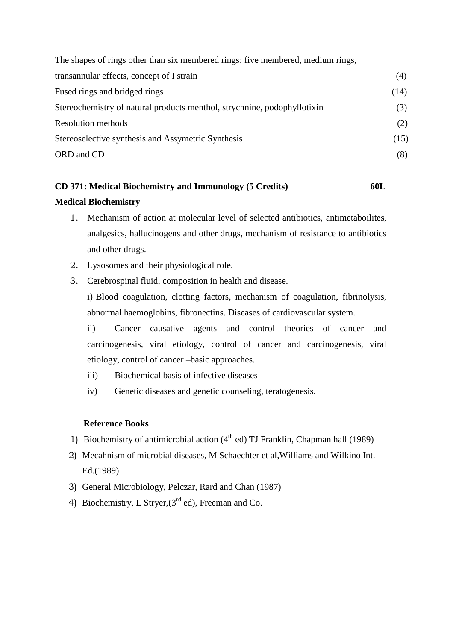| The shapes of rings other than six membered rings: five membered, medium rings, |      |
|---------------------------------------------------------------------------------|------|
| transannular effects, concept of I strain                                       | (4)  |
| Fused rings and bridged rings                                                   | (14) |
| Stereochemistry of natural products menthol, strychnine, podophyllotixin        | (3)  |
| <b>Resolution methods</b>                                                       | (2)  |
| Stereoselective synthesis and Assymetric Synthesis                              | (15) |
| ORD and CD                                                                      | (8)  |

# **CD 371: Medical Biochemistry and Immunology (5 Credits) 60L Medical Biochemistry**

- 1. Mechanism of action at molecular level of selected antibiotics, antimetaboilites, analgesics, hallucinogens and other drugs, mechanism of resistance to antibiotics and other drugs.
- 2. Lysosomes and their physiological role.
- 3. Cerebrospinal fluid, composition in health and disease. i) Blood coagulation, clotting factors, mechanism of coagulation, fibrinolysis, abnormal haemoglobins, fibronectins. Diseases of cardiovascular system.

ii) Cancer causative agents and control theories of cancer and carcinogenesis, viral etiology, control of cancer and carcinogenesis, viral etiology, control of cancer –basic approaches.

- iii) Biochemical basis of infective diseases
- iv) Genetic diseases and genetic counseling, teratogenesis.

### **Reference Books**

- 1) Biochemistry of antimicrobial action  $(4<sup>th</sup>$  ed) TJ Franklin, Chapman hall (1989)
- 2) Mecahnism of microbial diseases, M Schaechter et al,Williams and Wilkino Int. Ed.(1989)
- 3) General Microbiology, Pelczar, Rard and Chan (1987)
- 4) Biochemistry, L Stryer,  $(3<sup>rd</sup>$  ed), Freeman and Co.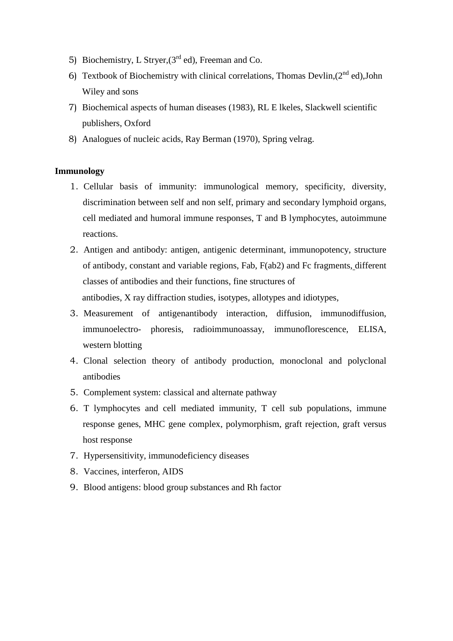- 5) Biochemistry, L Stryer,  $(3<sup>rd</sup>$  ed), Freeman and Co.
- 6) Textbook of Biochemistry with clinical correlations, Thomas Devlin, $(2^{nd}$  ed).John Wiley and sons
- 7) Biochemical aspects of human diseases (1983), RL E lkeles, Slackwell scientific publishers, Oxford
- 8) Analogues of nucleic acids, Ray Berman (1970), Spring velrag.

#### **Immunology**

- 1. Cellular basis of immunity: immunological memory, specificity, diversity, discrimination between self and non self, primary and secondary lymphoid organs, cell mediated and humoral immune responses, T and B lymphocytes, autoimmune reactions.
- 2. Antigen and antibody: antigen, antigenic determinant, immunopotency, structure of antibody, constant and variable regions, Fab, F(ab2) and Fc fragments, different classes of antibodies and their functions, fine structures of antibodies, X ray diffraction studies, isotypes, allotypes and idiotypes,
- 3. Measurement of antigenantibody interaction, diffusion, immunodiffusion, immunoelectro- phoresis, radioimmunoassay, immunoflorescence, ELISA, western blotting
- 4. Clonal selection theory of antibody production, monoclonal and polyclonal antibodies
- 5. Complement system: classical and alternate pathway
- 6. T lymphocytes and cell mediated immunity, T cell sub populations, immune response genes, MHC gene complex, polymorphism, graft rejection, graft versus host response
- 7. Hypersensitivity, immunodeficiency diseases
- 8. Vaccines, interferon, AIDS
- 9. Blood antigens: blood group substances and Rh factor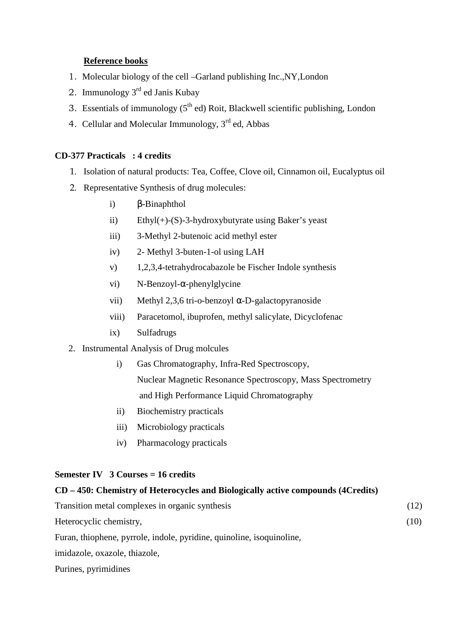# **Reference books**

- 1. Molecular biology of the cell –Garland publishing Inc.,NY,London
- 2. Immunology 3rd ed Janis Kubay
- 3. Essentials of immunology  $(5<sup>th</sup>$  ed) Roit, Blackwell scientific publishing, London
- 4. Cellular and Molecular Immunology, 3<sup>rd</sup> ed, Abbas

### **CD-377 Practicals : 4 credits**

- 1. Isolation of natural products: Tea, Coffee, Clove oil, Cinnamon oil, Eucalyptus oil
- 2. Representative Synthesis of drug molecules:
	- i) β-Binaphthol
	- ii) Ethyl(+)-(S)-3-hydroxybutyrate using Baker's yeast
	- iii) 3-Methyl 2-butenoic acid methyl ester
	- iv) 2- Methyl 3-buten-1-ol using LAH
	- v) 1,2,3,4-tetrahydrocabazole be Fischer Indole synthesis
	- vi) N-Benzoyl-α-phenylglycine
	- vii) Methyl 2,3,6 tri-o-benzoyl α-D-galactopyranoside
	- viii) Paracetomol, ibuprofen, methyl salicylate, Dicyclofenac
	- ix) Sulfadrugs
- 2. Instrumental Analysis of Drug molcules
	- i) Gas Chromatography, Infra-Red Spectroscopy, Nuclear Magnetic Resonance Spectroscopy, Mass Spectrometry and High Performance Liquid Chromatography
	- ii) Biochemistry practicals
	- iii) Microbiology practicals
	- iv) Pharmacology practicals

### **Semester IV 3 Courses = 16 credits**

# **CD – 450: Chemistry of Heterocycles and Biologically active compounds (4Credits)**

| Transition metal complexes in organic synthesis                       | (12) |
|-----------------------------------------------------------------------|------|
| Heterocyclic chemistry,                                               | (10) |
| Furan, thiophene, pyrrole, indole, pyridine, quinoline, isoquinoline, |      |
| imidazole, oxazole, thiazole,                                         |      |

Purines, pyrimidines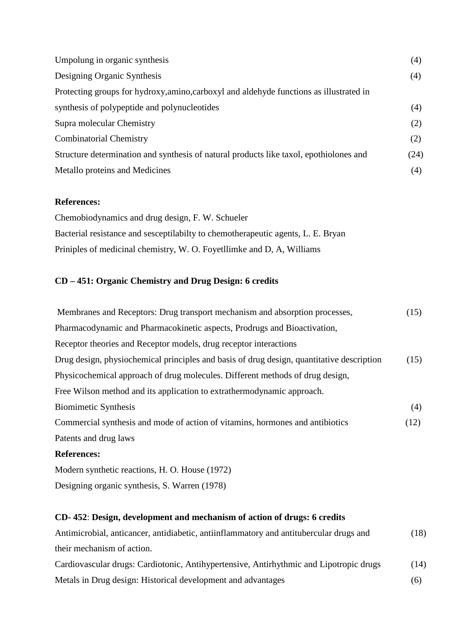| Umpolung in organic synthesis                                                           | (4)  |
|-----------------------------------------------------------------------------------------|------|
| Designing Organic Synthesis                                                             | (4)  |
| Protecting groups for hydroxy, amino, carboxyl and aldehyde functions as illustrated in |      |
| synthesis of polypeptide and polynucleotides                                            | (4)  |
| Supra molecular Chemistry                                                               | (2)  |
| <b>Combinatorial Chemistry</b>                                                          | (2)  |
| Structure determination and synthesis of natural products like taxol, epothiolones and  | (24) |
| Metallo proteins and Medicines                                                          | (4)  |

### **References:**

Chemobiodynamics and drug design, F. W. Schueler Bacterial resistance and sesceptilabilty to chemotherapeutic agents, L. E. Bryan Priniples of medicinal chemistry, W. O. Foyetllimke and D, A, Williams

# **CD – 451: Organic Chemistry and Drug Design: 6 credits**

| Membranes and Receptors: Drug transport mechanism and absorption processes,               | (15) |
|-------------------------------------------------------------------------------------------|------|
| Pharmacodynamic and Pharmacokinetic aspects, Prodrugs and Bioactivation,                  |      |
| Receptor theories and Receptor models, drug receptor interactions                         |      |
| Drug design, physiochemical principles and basis of drug design, quantitative description | (15) |
| Physicochemical approach of drug molecules. Different methods of drug design,             |      |
| Free Wilson method and its application to extrathermodynamic approach.                    |      |
| <b>Biomimetic Synthesis</b>                                                               | (4)  |
| Commercial synthesis and mode of action of vitamins, hormones and antibiotics             | (12) |
| Patents and drug laws                                                                     |      |
| <b>References:</b>                                                                        |      |
| Modern synthetic reactions, H. O. House (1972)                                            |      |
|                                                                                           |      |

Designing organic synthesis, S. Warren (1978)

# **CD- 452**: **Design, development and mechanism of action of drugs: 6 credits**

| Antimicrobial, anticancer, antidiabetic, antiinflammatory and antitubercular drugs and | (18) |
|----------------------------------------------------------------------------------------|------|
| their mechanism of action.                                                             |      |
| Cardiovascular drugs: Cardiotonic, Antihypertensive, Antirhythmic and Lipotropic drugs | (14) |
| Metals in Drug design: Historical development and advantages                           | (6)  |